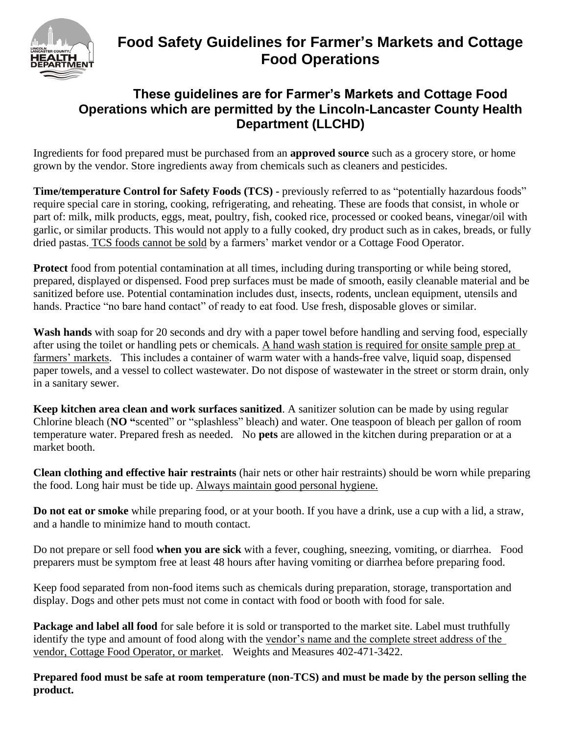

## **Food Safety Guidelines for Farmer's Markets and Cottage Food Operations**

## **These guidelines are for Farmer's Markets and Cottage Food Operations which are permitted by the Lincoln-Lancaster County Health Department (LLCHD)**

Ingredients for food prepared must be purchased from an **approved source** such as a grocery store, or home grown by the vendor. Store ingredients away from chemicals such as cleaners and pesticides.

**Time/temperature Control for Safety Foods (TCS) -** previously referred to as "potentially hazardous foods" require special care in storing, cooking, refrigerating, and reheating. These are foods that consist, in whole or part of: milk, milk products, eggs, meat, poultry, fish, cooked rice, processed or cooked beans, vinegar/oil with garlic, or similar products. This would not apply to a fully cooked, dry product such as in cakes, breads, or fully dried pastas. TCS foods cannot be sold by a farmers' market vendor or a Cottage Food Operator.

**Protect** food from potential contamination at all times, including during transporting or while being stored, prepared, displayed or dispensed. Food prep surfaces must be made of smooth, easily cleanable material and be sanitized before use. Potential contamination includes dust, insects, rodents, unclean equipment, utensils and hands. Practice "no bare hand contact" of ready to eat food. Use fresh, disposable gloves or similar.

**Wash hands** with soap for 20 seconds and dry with a paper towel before handling and serving food, especially after using the toilet or handling pets or chemicals. A hand wash station is required for onsite sample prep at farmers' markets. This includes a container of warm water with a hands-free valve, liquid soap, dispensed paper towels, and a vessel to collect wastewater. Do not dispose of wastewater in the street or storm drain, only in a sanitary sewer.

**Keep kitchen area clean and work surfaces sanitized**. A sanitizer solution can be made by using regular Chlorine bleach (**NO "**scented" or "splashless" bleach) and water. One teaspoon of bleach per gallon of room temperature water. Prepared fresh as needed. No **pets** are allowed in the kitchen during preparation or at a market booth.

**Clean clothing and effective hair restraints** (hair nets or other hair restraints) should be worn while preparing the food. Long hair must be tide up. Always maintain good personal hygiene.

**Do not eat or smoke** while preparing food, or at your booth. If you have a drink, use a cup with a lid, a straw, and a handle to minimize hand to mouth contact.

Do not prepare or sell food **when you are sick** with a fever, coughing, sneezing, vomiting, or diarrhea. Food preparers must be symptom free at least 48 hours after having vomiting or diarrhea before preparing food.

Keep food separated from non-food items such as chemicals during preparation, storage, transportation and display. Dogs and other pets must not come in contact with food or booth with food for sale.

**Package and label all food** for sale before it is sold or transported to the market site. Label must truthfully identify the type and amount of food along with the vendor's name and the complete street address of the vendor, Cottage Food Operator, or market. Weights and Measures 402-471-3422.

**Prepared food must be safe at room temperature (non-TCS) and must be made by the person selling the product.**